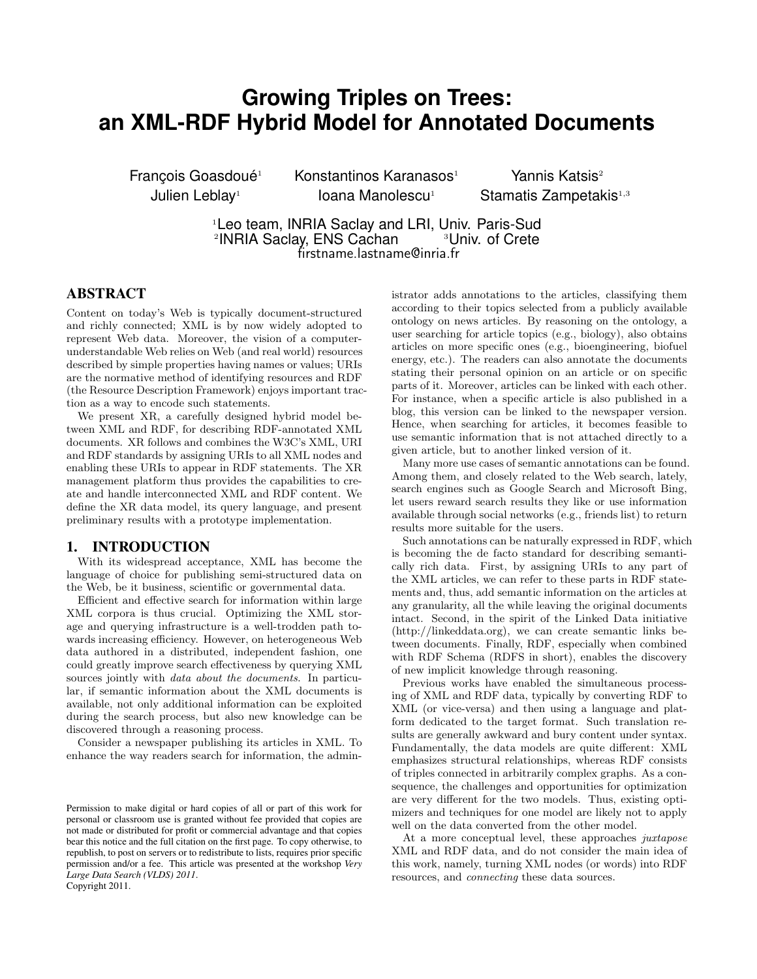# **Growing Triples on Trees: an XML-RDF Hybrid Model for Annotated Documents**

Francois Goasdoué<sup>1</sup> Julien Leblay<sup>1</sup>

 $K$ onstantinos Karanasos<sup>1</sup> Yannis Katsis<sup>2</sup> Ioana Manolescu<sup>1</sup> Stamatis Zampetakis<sup>1,3</sup>

<sup>1</sup>Leo team, INRIA Saclay and LRI, Univ. Paris-Sud<br><sup>2</sup>INRIA Saclay, ENS Cachan **19** 3 Univ. of Crete <sup>2</sup>INRIA Saclay, ENS Cachan <sup>3</sup>Univ. of Crete firstname.lastname@inria.fr

# ABSTRACT

Content on today's Web is typically document-structured and richly connected; XML is by now widely adopted to represent Web data. Moreover, the vision of a computerunderstandable Web relies on Web (and real world) resources described by simple properties having names or values; URIs are the normative method of identifying resources and RDF (the Resource Description Framework) enjoys important traction as a way to encode such statements.

We present XR, a carefully designed hybrid model between XML and RDF, for describing RDF-annotated XML documents. XR follows and combines the W3C's XML, URI and RDF standards by assigning URIs to all XML nodes and enabling these URIs to appear in RDF statements. The XR management platform thus provides the capabilities to create and handle interconnected XML and RDF content. We define the XR data model, its query language, and present preliminary results with a prototype implementation.

#### 1. INTRODUCTION

With its widespread acceptance, XML has become the language of choice for publishing semi-structured data on the Web, be it business, scientific or governmental data.

Efficient and effective search for information within large XML corpora is thus crucial. Optimizing the XML storage and querying infrastructure is a well-trodden path towards increasing efficiency. However, on heterogeneous Web data authored in a distributed, independent fashion, one could greatly improve search effectiveness by querying XML sources jointly with *data about the documents*. In particular, if semantic information about the XML documents is available, not only additional information can be exploited during the search process, but also new knowledge can be discovered through a reasoning process.

Consider a newspaper publishing its articles in XML. To enhance the way readers search for information, the administrator adds annotations to the articles, classifying them according to their topics selected from a publicly available ontology on news articles. By reasoning on the ontology, a user searching for article topics (e.g., biology), also obtains articles on more specific ones (e.g., bioengineering, biofuel energy, etc.). The readers can also annotate the documents stating their personal opinion on an article or on specific parts of it. Moreover, articles can be linked with each other. For instance, when a specific article is also published in a blog, this version can be linked to the newspaper version. Hence, when searching for articles, it becomes feasible to use semantic information that is not attached directly to a given article, but to another linked version of it.

Many more use cases of semantic annotations can be found. Among them, and closely related to the Web search, lately, search engines such as Google Search and Microsoft Bing, let users reward search results they like or use information available through social networks (e.g., friends list) to return results more suitable for the users.

Such annotations can be naturally expressed in RDF, which is becoming the de facto standard for describing semantically rich data. First, by assigning URIs to any part of the XML articles, we can refer to these parts in RDF statements and, thus, add semantic information on the articles at any granularity, all the while leaving the original documents intact. Second, in the spirit of the Linked Data initiative (http://linkeddata.org), we can create semantic links between documents. Finally, RDF, especially when combined with RDF Schema (RDFS in short), enables the discovery of new implicit knowledge through reasoning.

Previous works have enabled the simultaneous processing of XML and RDF data, typically by converting RDF to XML (or vice-versa) and then using a language and platform dedicated to the target format. Such translation results are generally awkward and bury content under syntax. Fundamentally, the data models are quite different: XML emphasizes structural relationships, whereas RDF consists of triples connected in arbitrarily complex graphs. As a consequence, the challenges and opportunities for optimization are very different for the two models. Thus, existing optimizers and techniques for one model are likely not to apply well on the data converted from the other model.

At a more conceptual level, these approaches juxtapose XML and RDF data, and do not consider the main idea of this work, namely, turning XML nodes (or words) into RDF resources, and connecting these data sources.

Permission to make digital or hard copies of all or part of this work for personal or classroom use is granted without fee provided that copies are not made or distributed for profit or commercial advantage and that copies bear this notice and the full citation on the first page. To copy otherwise, to republish, to post on servers or to redistribute to lists, requires prior specific permission and/or a fee. This article was presented at the workshop *Very Large Data Search (VLDS) 2011*. Copyright 2011.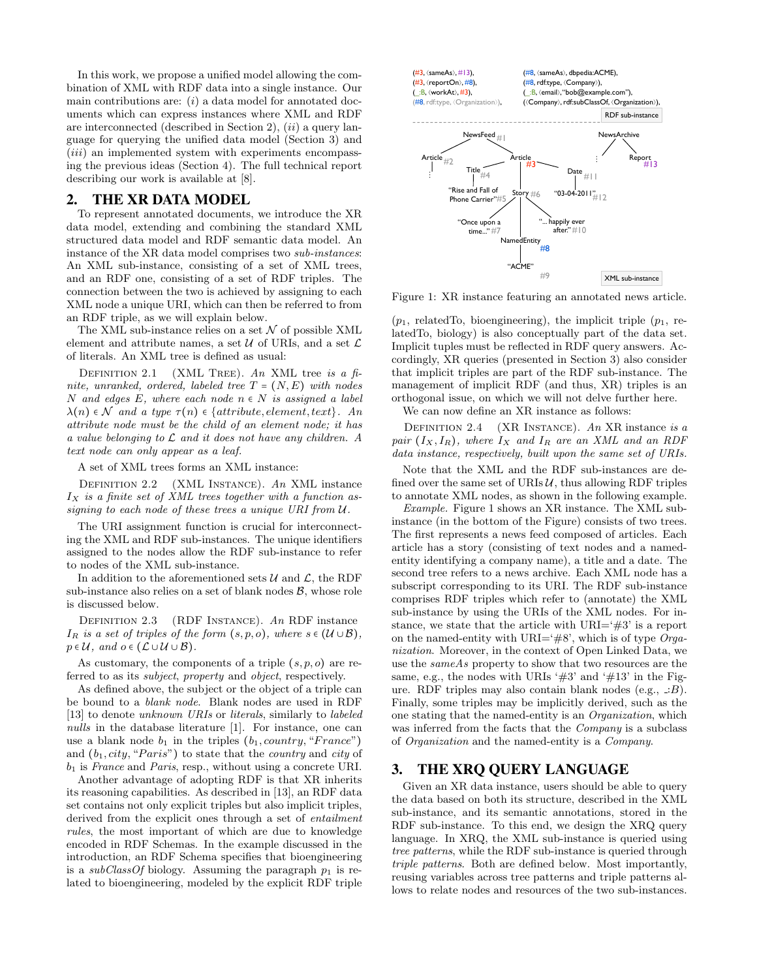In this work, we propose a unified model allowing the combination of XML with RDF data into a single instance. Our main contributions are:  $(i)$  a data model for annotated documents which can express instances where XML and RDF are interconnected (described in Section 2),  $(ii)$  a query language for querying the unified data model (Section 3) and (*iii*) an implemented system with experiments encompassing the previous ideas (Section 4). The full technical report describing our work is available at [8].

#### 2. THE XR DATA MODEL

To represent annotated documents, we introduce the XR data model, extending and combining the standard XML structured data model and RDF semantic data model. An instance of the XR data model comprises two sub-instances: An XML sub-instance, consisting of a set of XML trees, and an RDF one, consisting of a set of RDF triples. The connection between the two is achieved by assigning to each XML node a unique URI, which can then be referred to from an RDF triple, as we will explain below.

The XML sub-instance relies on a set  $\mathcal N$  of possible XML element and attribute names, a set  $\mathcal U$  of URIs, and a set  $\mathcal L$ of literals. An XML tree is defined as usual:

DEFINITION 2.1 (XML TREE). An XML tree is a finite, unranked, ordered, labeled tree  $T = (N, E)$  with nodes N and edges E, where each node  $n \in N$  is assigned a label  $\lambda(n) \in \mathcal{N}$  and a type  $\tau(n) \in \{attribute, element, text\}$ . An attribute node must be the child of an element node; it has a value belonging to L and it does not have any children. A text node can only appear as a leaf.

A set of XML trees forms an XML instance:

Definition 2.2 (XML Instance). An XML instance  $I_X$  is a finite set of XML trees together with a function assigning to each node of these trees a unique URI from U.

The URI assignment function is crucial for interconnecting the XML and RDF sub-instances. The unique identifiers assigned to the nodes allow the RDF sub-instance to refer to nodes of the XML sub-instance.

In addition to the aforementioned sets  $\mathcal U$  and  $\mathcal L$ , the RDF sub-instance also relies on a set of blank nodes  $\mathcal{B}$ , whose role is discussed below.

Definition 2.3 (RDF Instance). An RDF instance  $I_R$  is a set of triples of the form  $(s, p, o)$ , where  $s \in (\mathcal{U} \cup \mathcal{B})$ ,  $p \in \mathcal{U}$ , and  $o \in (\mathcal{L} \cup \mathcal{U} \cup \mathcal{B})$ .

As customary, the components of a triple  $(s, p, o)$  are referred to as its subject, property and object, respectively.

As defined above, the subject or the object of a triple can be bound to a blank node. Blank nodes are used in RDF [13] to denote unknown URIs or literals, similarly to labeled nulls in the database literature [1]. For instance, one can use a blank node  $b_1$  in the triples  $(b_1, country, "France")$ and  $(b_1, city, "Paris")$  to state that the *country* and *city* of  $b_1$  is France and Paris, resp., without using a concrete URI.

Another advantage of adopting RDF is that XR inherits its reasoning capabilities. As described in [13], an RDF data set contains not only explicit triples but also implicit triples, derived from the explicit ones through a set of *entailment* rules, the most important of which are due to knowledge encoded in RDF Schemas. In the example discussed in the introduction, an RDF Schema specifies that bioengineering is a subClassOf biology. Assuming the paragraph  $p_1$  is related to bioengineering, modeled by the explicit RDF triple



Figure 1: XR instance featuring an annotated news article.

 $(p_1, \text{ relatedTo}, \text{bioengineering})$ , the implicit triple  $(p_1, \text{re-}$ latedTo, biology) is also conceptually part of the data set. Implicit tuples must be reflected in RDF query answers. Accordingly, XR queries (presented in Section 3) also consider that implicit triples are part of the RDF sub-instance. The management of implicit RDF (and thus, XR) triples is an orthogonal issue, on which we will not delve further here.

We can now define an XR instance as follows:

DEFINITION 2.4 (XR INSTANCE). An XR instance is a pair  $(I_X, I_R)$ , where  $I_X$  and  $I_R$  are an XML and an RDF data instance, respectively, built upon the same set of URIs.

Note that the XML and the RDF sub-instances are defined over the same set of URIs  $\mathcal{U}$ , thus allowing RDF triples to annotate XML nodes, as shown in the following example.

Example. Figure 1 shows an XR instance. The XML subinstance (in the bottom of the Figure) consists of two trees. The first represents a news feed composed of articles. Each article has a story (consisting of text nodes and a namedentity identifying a company name), a title and a date. The second tree refers to a news archive. Each XML node has a subscript corresponding to its URI. The RDF sub-instance comprises RDF triples which refer to (annotate) the XML sub-instance by using the URIs of the XML nodes. For instance, we state that the article with  $\text{URI}=\#3'$  is a report on the named-entity with URI='#8', which is of type  $Orga$ nization. Moreover, in the context of Open Linked Data, we use the sameAs property to show that two resources are the same, e.g., the nodes with URIs ' $#3'$  and ' $#13'$  in the Figure. RDF triples may also contain blank nodes (e.g., ∶B). Finally, some triples may be implicitly derived, such as the one stating that the named-entity is an Organization, which was inferred from the facts that the Company is a subclass of Organization and the named-entity is a Company.

## 3. THE XRQ QUERY LANGUAGE

Given an XR data instance, users should be able to query the data based on both its structure, described in the XML sub-instance, and its semantic annotations, stored in the RDF sub-instance. To this end, we design the XRQ query language. In XRQ, the XML sub-instance is queried using tree patterns, while the RDF sub-instance is queried through triple patterns. Both are defined below. Most importantly, reusing variables across tree patterns and triple patterns allows to relate nodes and resources of the two sub-instances.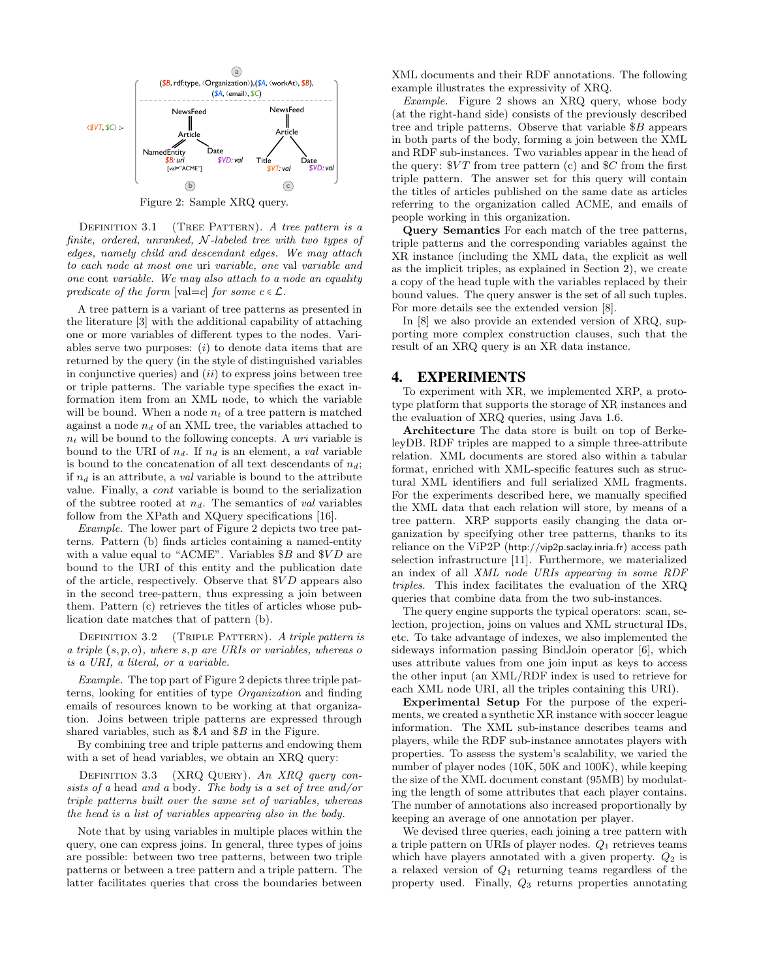

Figure 2: Sample XRQ query.

DEFINITION 3.1 (TREE PATTERN). A tree pattern is a finite, ordered, unranked,  $\mathcal N$ -labeled tree with two types of edges, namely child and descendant edges. We may attach to each node at most one uri variable, one val variable and one cont variable. We may also attach to a node an equality predicate of the form  $[\text{val}=c]$  for some  $c \in \mathcal{L}$ .

A tree pattern is a variant of tree patterns as presented in the literature [3] with the additional capability of attaching one or more variables of different types to the nodes. Variables serve two purposes:  $(i)$  to denote data items that are returned by the query (in the style of distinguished variables in conjunctive queries) and  $(ii)$  to express joins between tree or triple patterns. The variable type specifies the exact information item from an XML node, to which the variable will be bound. When a node  $n_t$  of a tree pattern is matched against a node  $n_d$  of an XML tree, the variables attached to  $n_t$  will be bound to the following concepts. A uri variable is bound to the URI of  $n_d$ . If  $n_d$  is an element, a val variable is bound to the concatenation of all text descendants of  $n_d$ ; if  $n_d$  is an attribute, a val variable is bound to the attribute value. Finally, a cont variable is bound to the serialization of the subtree rooted at  $n_d$ . The semantics of val variables follow from the XPath and XQuery specifications [16].

Example. The lower part of Figure 2 depicts two tree patterns. Pattern (b) finds articles containing a named-entity with a value equal to "ACME". Variables  $$B$  and  $$VD$  are bound to the URI of this entity and the publication date of the article, respectively. Observe that  $$VD$  appears also in the second tree-pattern, thus expressing a join between them. Pattern (c) retrieves the titles of articles whose publication date matches that of pattern (b).

DEFINITION 3.2 (TRIPLE PATTERN). A triple pattern is a triple  $(s, p, o)$ , where  $s, p$  are URIs or variables, whereas o is a URI, a literal, or a variable.

Example. The top part of Figure 2 depicts three triple patterns, looking for entities of type Organization and finding emails of resources known to be working at that organization. Joins between triple patterns are expressed through shared variables, such as \$A and \$B in the Figure.

By combining tree and triple patterns and endowing them with a set of head variables, we obtain an XRQ query:

DEFINITION 3.3 (XRQ QUERY). An XRQ query consists of a head and a body. The body is a set of tree and/or triple patterns built over the same set of variables, whereas the head is a list of variables appearing also in the body.

Note that by using variables in multiple places within the query, one can express joins. In general, three types of joins are possible: between two tree patterns, between two triple patterns or between a tree pattern and a triple pattern. The latter facilitates queries that cross the boundaries between

XML documents and their RDF annotations. The following example illustrates the expressivity of XRQ.

Example. Figure 2 shows an XRQ query, whose body (at the right-hand side) consists of the previously described tree and triple patterns. Observe that variable \$B appears in both parts of the body, forming a join between the XML and RDF sub-instances. Two variables appear in the head of the query:  $V T$  from tree pattern (c) and  $C$  from the first triple pattern. The answer set for this query will contain the titles of articles published on the same date as articles referring to the organization called ACME, and emails of people working in this organization.

Query Semantics For each match of the tree patterns, triple patterns and the corresponding variables against the XR instance (including the XML data, the explicit as well as the implicit triples, as explained in Section 2), we create a copy of the head tuple with the variables replaced by their bound values. The query answer is the set of all such tuples. For more details see the extended version [8].

In [8] we also provide an extended version of XRQ, supporting more complex construction clauses, such that the result of an XRQ query is an XR data instance.

## 4. EXPERIMENTS

To experiment with XR, we implemented XRP, a prototype platform that supports the storage of XR instances and the evaluation of XRQ queries, using Java 1.6.

Architecture The data store is built on top of BerkeleyDB. RDF triples are mapped to a simple three-attribute relation. XML documents are stored also within a tabular format, enriched with XML-specific features such as structural XML identifiers and full serialized XML fragments. For the experiments described here, we manually specified the XML data that each relation will store, by means of a tree pattern. XRP supports easily changing the data organization by specifying other tree patterns, thanks to its reliance on the ViP2P (http://vip2p.saclay.inria.fr) access path selection infrastructure [11]. Furthermore, we materialized an index of all XML node URIs appearing in some RDF triples. This index facilitates the evaluation of the XRQ queries that combine data from the two sub-instances.

The query engine supports the typical operators: scan, selection, projection, joins on values and XML structural IDs, etc. To take advantage of indexes, we also implemented the sideways information passing BindJoin operator [6], which uses attribute values from one join input as keys to access the other input (an XML/RDF index is used to retrieve for each XML node URI, all the triples containing this URI).

Experimental Setup For the purpose of the experiments, we created a synthetic XR instance with soccer league information. The XML sub-instance describes teams and players, while the RDF sub-instance annotates players with properties. To assess the system's scalability, we varied the number of player nodes (10K, 50K and 100K), while keeping the size of the XML document constant (95MB) by modulating the length of some attributes that each player contains. The number of annotations also increased proportionally by keeping an average of one annotation per player.

We devised three queries, each joining a tree pattern with a triple pattern on URIs of player nodes.  $Q_1$  retrieves teams which have players annotated with a given property.  $Q_2$  is a relaxed version of  $Q_1$  returning teams regardless of the property used. Finally, Q<sup>3</sup> returns properties annotating